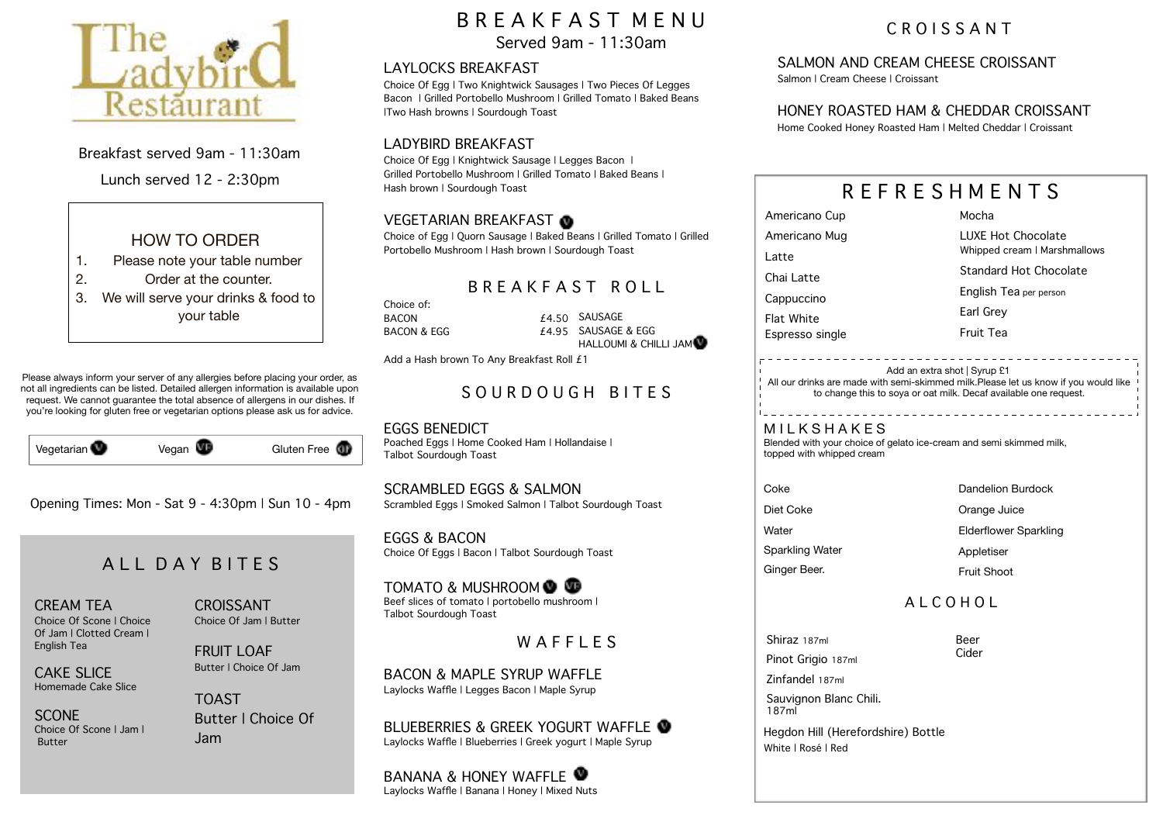

Breakfast served 9am - 11:30am

Lunch served 12 - 2:30pm



- 1. Please note your table number
- 2. Order at the counter.
- 3. We will serve your drinks & food to your table

Please always inform your server of any allergies before placing your order, as not all ingredients can be listed. Detailed allergen information is available upon request. We cannot guarantee the total absence of allergens in our dishes. If you're looking for gluten free or vegetarian options please ask us for advice.

| Vegetarian | Vegan $\blacksquare$ | Gluten Free <b>C</b> |
|------------|----------------------|----------------------|

Opening Times: Mon - Sat 9 - 4:30pm | Sun 10 - 4pm

## ALL DAY RITES

#### CREAM TEA

Choice Of Scone | Choice Of Jam | Clotted Cream | English Tea

CAKE SLICE Homemade Cake Slice

SCONE Choice Of Scone | Jam | Butter

CROISSANT Choice Of Jam | Butter

FRUIT LOAF Butter | Choice Of Jam

TOAST Butter | Choice Of Jam

# B R E A K F A S T M E N U

Served 9am - 11:30am

#### LAYLOCKS BREAKFAST

Choice Of Egg | Two Knightwick Sausages | Two Pieces Of Legges Bacon | Grilled Portobello Mushroom | Grilled Tomato | Baked Beans |Two Hash browns | Sourdough Toast

### LADYBIRD BREAKFAST

Choice Of Egg | Knightwick Sausage | Legges Bacon | Grilled Portobello Mushroom | Grilled Tomato | Baked Beans | Hash brown | Sourdough Toast

## VEGETARIAN BREAKFAST

Choice of Egg | Quorn Sausage | Baked Beans | Grilled Tomato | Grilled Portobello Mushroom | Hash brown | Sourdough Toast

## B R E A K F A S T R O L L

Choice of: BACON BACON & EGG £4.50 SAUSAGE SAUSAGE & EGG HALLOUMI & CHILLI JAM

Add a Hash brown To Any Breakfast Roll £1

## SOURDOUGH BITES

EGGS BENEDICT Poached Eggs | Home Cooked Ham | Hollandaise | Talbot Sourdough Toast

SCRAMBLED EGGS & SALMON Scrambled Eggs | Smoked Salmon | Talbot Sourdough Toast

EGGS & BACON Choice Of Eggs | Bacon | Talbot Sourdough Toast

TOMATO & MUSHROOM **@** Beef slices of tomato | portobello mushroom | Talbot Sourdough Toast

W A F F L E S

BACON & MAPLE SYRUP WAFFLE Laylocks Waffle | Legges Bacon | Maple Syrup

BLUEBERRIES & GREEK YOGURT WAFFLE Laylocks Waffle | Blueberries | Greek yogurt | Maple Syrup

BANANA & HONFY WAFFLE Laylocks Waffle | Banana | Honey | Mixed Nuts

## C R O I S S A N T

## SALMON AND CREAM CHEESE CROISSANT

Salmon | Cream Cheese | Croissant

### HONEY ROASTED HAM & CHEDDAR CROISSANT

Home Cooked Honey Roasted Ham | Melted Cheddar | Croissant

| REFRESHMENTS      |                              |  |  |
|-------------------|------------------------------|--|--|
| Americano Cup     | Mocha                        |  |  |
| Americano Mug     | LUXE Hot Chocolate           |  |  |
| Latte             | Whipped cream   Marshmallows |  |  |
| Chai Latte        | Standard Hot Chocolate       |  |  |
| Cappuccino        | English Tea per person       |  |  |
| <b>Flat White</b> | Earl Grey                    |  |  |
| Espresso single   | Fruit Tea                    |  |  |
|                   | Add an extra shot   Syrup £1 |  |  |

All our drinks are made with semi-skimmed milk.Please let us know if you would like to change this to soya or oat milk. Decaf available one request.

**MILKSHAKES** Blended with your choice of gelato ice-cream and semi skimmed milk, topped with whipped cream

Coke Diet Coke **Water** Ginger Beer.

Dandelion Burdock

Orange Juice

Elderflower Sparkling

Sparkling Water

Appletiser

#### Fruit Shoot

## A L C O H O L

Shiraz 187ml Pinot Grigio 187ml Beer Cider

Zinfandel 187ml Sauvignon Blanc Chili. 187ml

 Hegdon Hill (Herefordshire) Bottle White | Rosé | Red